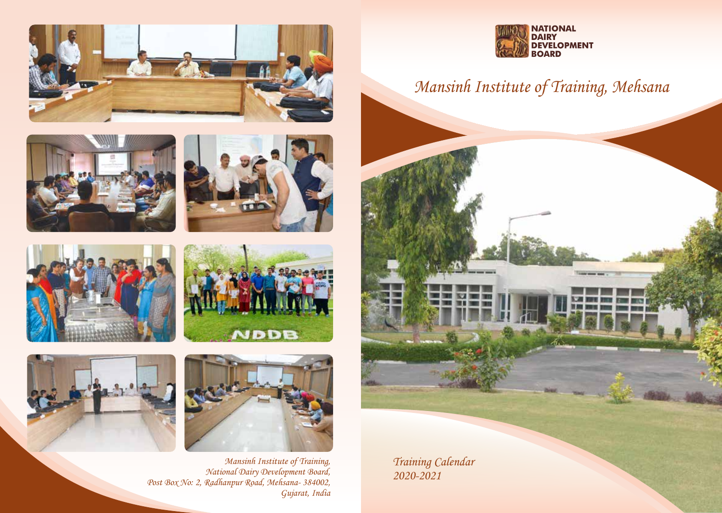













Mansinh Institute of Training, National Dairy Development Board, Post Box No: 2, Radhanpur Road, Mehsana- 384002, Gujarat, India



## Mansinh Institute of Training, Mehsana



Training Calendar 2020-2021